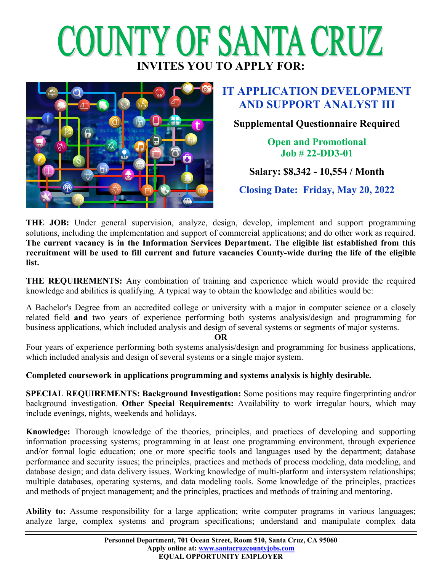# COUNTY OF SANTA CRUZ **INVITES YOU TO APPLY FOR:**



# **IT APPLICATION DEVELOPMENT AND SUPPORT ANALYST III**

## **Supplemental Questionnaire Required**

**Open and Promotional Job # 22-DD3-01**

## **Salary: \$8,342 - 10,554 / Month**

**Closing Date: Friday, May 20, 2022**

**THE JOB:** Under general supervision, analyze, design, develop, implement and support programming solutions, including the implementation and support of commercial applications; and do other work as required. **The current vacancy is in the Information Services Department. The eligible list established from this recruitment will be used to fill current and future vacancies County-wide during the life of the eligible list.**

**THE REQUIREMENTS:** Any combination of training and experience which would provide the required knowledge and abilities is qualifying. A typical way to obtain the knowledge and abilities would be:

A Bachelor's Degree from an accredited college or university with a major in computer science or a closely related field **and** two years of experience performing both systems analysis/design and programming for business applications, which included analysis and design of several systems or segments of major systems.

**OR**

Four years of experience performing both systems analysis/design and programming for business applications, which included analysis and design of several systems or a single major system.

### **Completed coursework in applications programming and systems analysis is highly desirable.**

**SPECIAL REQUIREMENTS: Background Investigation:** Some positions may require fingerprinting and/or background investigation. **Other Special Requirements:** Availability to work irregular hours, which may include evenings, nights, weekends and holidays.

**Knowledge:** Thorough knowledge of the theories, principles, and practices of developing and supporting information processing systems; programming in at least one programming environment, through experience and/or formal logic education; one or more specific tools and languages used by the department; database performance and security issues; the principles, practices and methods of process modeling, data modeling, and database design; and data delivery issues. Working knowledge of multi-platform and intersystem relationships; multiple databases, operating systems, and data modeling tools. Some knowledge of the principles, practices and methods of project management; and the principles, practices and methods of training and mentoring.

**Ability to:** Assume responsibility for a large application; write computer programs in various languages; analyze large, complex systems and program specifications; understand and manipulate complex data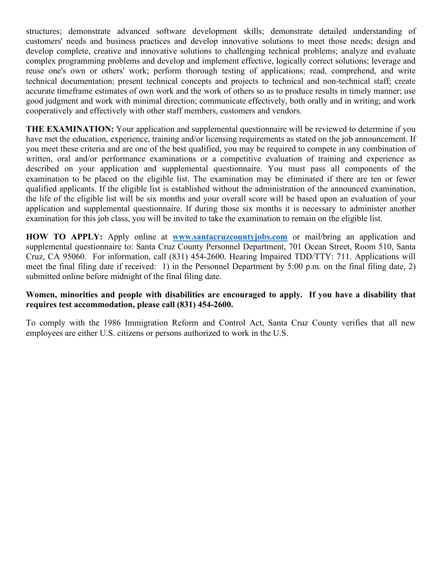structures; demonstrate advanced software development skills; demonstrate detailed understanding of customers' needs and business practices and develop innovative solutions to meet those needs; design and develop complete, creative and innovative solutions to challenging technical problems; analyze and evaluate complex programming problems and develop and implement effective, logically correct solutions; leverage and reuse one's own or others' work; perform thorough testing of applications; read, comprehend, and write technical documentation; present technical concepts and projects to technical and non-technical staff; create accurate timeframe estimates of own work and the work of others so as to produce results in timely manner; use good judgment and work with minimal direction; communicate effectively, both orally and in writing; and work cooperatively and effectively with other staff members, customers and vendors.

**THE EXAMINATION:** Your application and supplemental questionnaire will be reviewed to determine if you have met the education, experience, training and/or licensing requirements as stated on the job announcement. If you meet these criteria and are one of the best qualified, you may be required to compete in any combination of written, oral and/or performance examinations or a competitive evaluation of training and experience as described on your application and supplemental questionnaire. You must pass all components of the examination to be placed on the eligible list. The examination may be eliminated if there are ten or fewer qualified applicants. If the eligible list is established without the administration of the announced examination, the life of the eligible list will be six months and your overall score will be based upon an evaluation of your application and supplemental questionnaire. If during those six months it is necessary to administer another examination for this job class, you will be invited to take the examination to remain on the eligible list.

**HOW TO APPLY:** Apply online at **[www.santacruzcountyjobs.com](http://www.santacruzcountyjobs.com/)** or mail/bring an application and supplemental questionnaire to: Santa Cruz County Personnel Department, 701 Ocean Street, Room 510, Santa Cruz, CA 95060. For information, call (831) 454-2600. Hearing Impaired TDD/TTY: 711. Applications will meet the final filing date if received: 1) in the Personnel Department by 5:00 p.m. on the final filing date, 2) submitted online before midnight of the final filing date.

#### **Women, minorities and people with disabilities are encouraged to apply. If you have a disability that requires test accommodation, please call (831) 454-2600.**

To comply with the 1986 Immigration Reform and Control Act, Santa Cruz County verifies that all new employees are either U.S. citizens or persons authorized to work in the U.S.